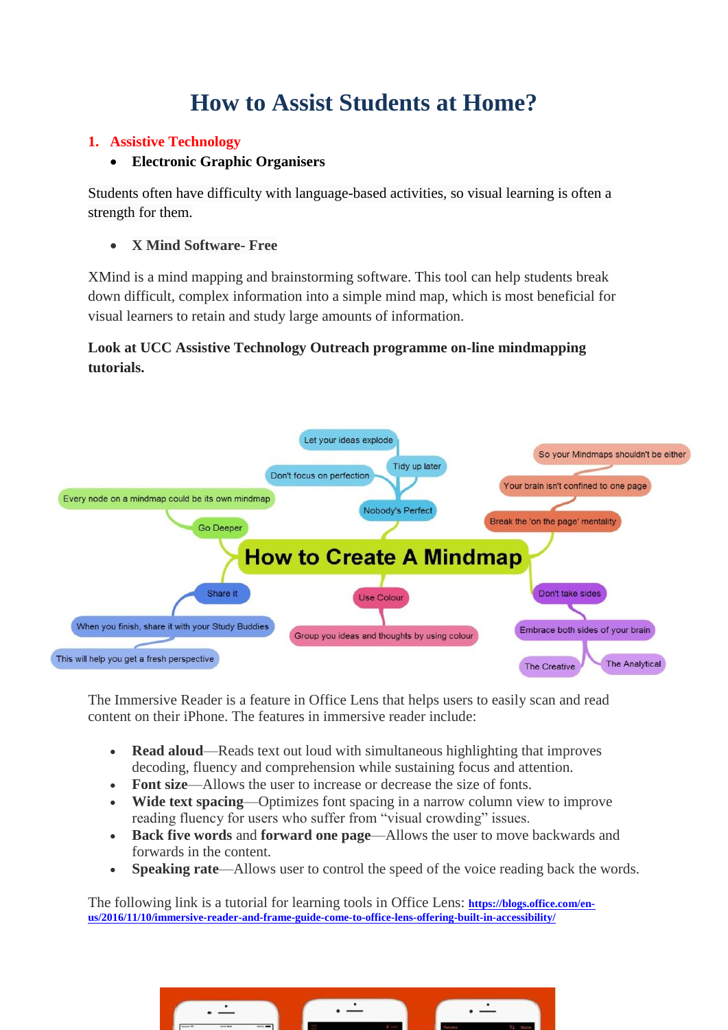# **How to Assist Students at Home?**

### **1. Assistive Technology**

### **Electronic Graphic Organisers**

Students often have difficulty with language-based activities, so [visual learning](https://www.noodle.com/articles/study-tips-for-visual-learners) is often a strength for them.

### **X Mind Software- Free**

XMind is a mind mapping and brainstorming software. This tool can help students break down difficult, complex information into a simple mind map, which is most beneficial for visual learners to retain and study large amounts of information.

# **Look at UCC Assistive Technology Outreach programme on-line mindmapping tutorials.**



The Immersive Reader is a feature in Office Lens that helps users to easily scan and read content on their iPhone. The features in immersive reader include:

- **Read aloud**—Reads text out loud with simultaneous highlighting that improves decoding, fluency and comprehension while sustaining focus and attention.
- **Font size**—Allows the user to increase or decrease the size of fonts.
- **Wide text spacing**—Optimizes font spacing in a narrow column view to improve reading fluency for users who suffer from "visual crowding" issues.
- **Back five words** and **forward one page**—Allows the user to move backwards and forwards in the content.
- **Speaking rate**—Allows user to control the speed of the voice reading back the words.

The following link is a tutorial for learning tools in Office Lens: **[https://blogs.office.com/en](https://blogs.office.com/en-us/2016/11/10/immersive-reader-and-frame-guide-come-to-office-lens-offering-built-in-accessibility/)[us/2016/11/10/immersive-reader-and-frame-guide-come-to-office-lens-offering-built-in-accessibility/](https://blogs.office.com/en-us/2016/11/10/immersive-reader-and-frame-guide-come-to-office-lens-offering-built-in-accessibility/)**

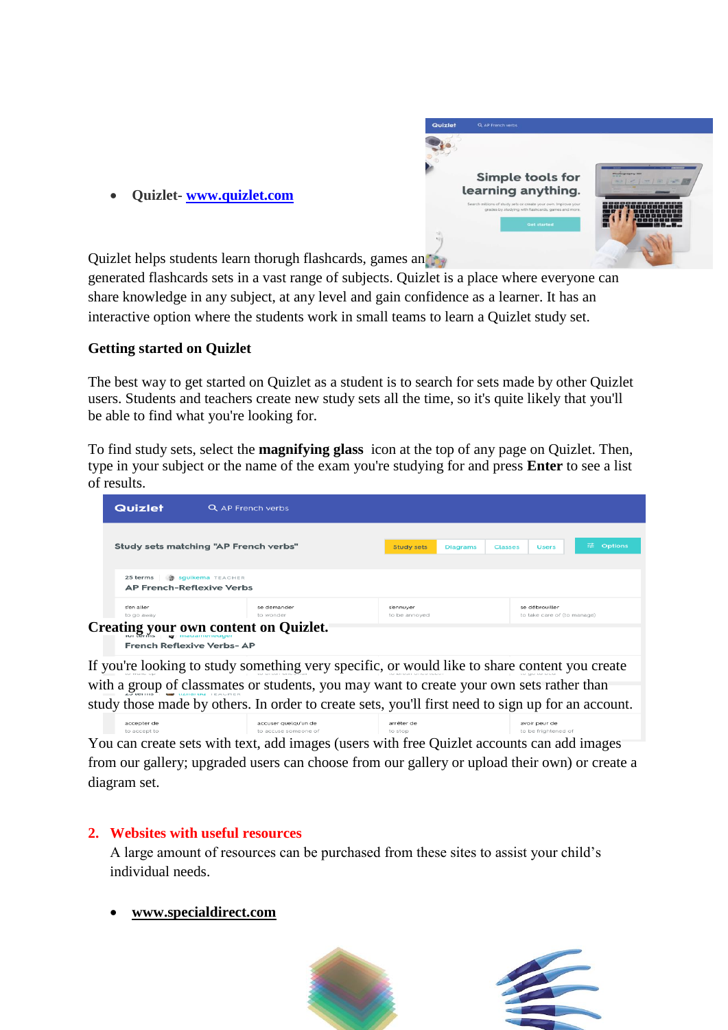

| Quizlet | Q AP French verbs                                                                                                     |                                      |
|---------|-----------------------------------------------------------------------------------------------------------------------|--------------------------------------|
|         |                                                                                                                       |                                      |
|         |                                                                                                                       |                                      |
|         | Simple tools for                                                                                                      | Photography 101<br><b>CONTRACTOR</b> |
|         | learning anything.                                                                                                    |                                      |
|         | Search millions of study sets or create your own. Improve your<br>grades by studying with flashcards, games and more. |                                      |
|         | <b>Get started</b>                                                                                                    |                                      |
|         |                                                                                                                       |                                      |
|         |                                                                                                                       |                                      |

Quizlet helps students learn thorugh flashcards, games and the

generated flashcards sets in a vast range of subjects. Quizlet is a place where everyone can share knowledge in any subject, at any level and gain confidence as a learner. It has an interactive option where the students work in small teams to learn a Quizlet study set.

# **Getting started on Quizlet**

The best way to get started on Quizlet as a student is to search for sets made by other Quizlet users. Students and teachers create new study sets all the time, so it's quite likely that you'll be able to find what you're looking for.

To find study sets, select the **magnifying glass** icon at the top of any page on Quizlet. Then, type in your subject or the name of the exam you're studying for and press **Enter** to see a list of results.

| Quizlet                               | Q AP French verbs |                   |                                   |                             |               |
|---------------------------------------|-------------------|-------------------|-----------------------------------|-----------------------------|---------------|
|                                       |                   |                   |                                   |                             |               |
| Study sets matching "AP French verbs" |                   | <b>Study sets</b> | <b>Diagrams</b><br><b>Classes</b> | <b>Users</b>                | 話。<br>Options |
|                                       |                   |                   |                                   |                             |               |
| 25 terms 例 squikema TEACHER           |                   |                   |                                   |                             |               |
| <b>AP French-Reflexive Verbs</b>      |                   |                   |                                   |                             |               |
| s'en aller                            | se demander       | s'ennuyer         |                                   | se débrouiller              |               |
| to go away                            | to wonder         | to be annoyed     |                                   | to take care of (to manage) |               |

**French Reflexive Verbs-AP** 

If you're looking to study something very specific, or would like to share content you create with a group of classmates or students, you may want to [create your own sets](https://quizlet.com/help/2444100/creating-a-new-set) rather than study those made by others. In order to create sets, you'll first need to sign up for an account.

accepter de accuser quelqu'un de arrêter de avoir peur de You can create sets with text, add images (users with free Quizlet accounts can add images from our gallery; upgraded users can choose from our gallery or upload their own) or [create a](https://quizlet.com/help/2861760/creating-a-diagram-set)  [diagram set.](https://quizlet.com/help/2861760/creating-a-diagram-set)

# **2. Websites with useful resources**

A large amount of resources can be purchased from these sites to assist your child's individual needs.

# **[www.specialdirect.com](http://www.specialdirect.com/)**



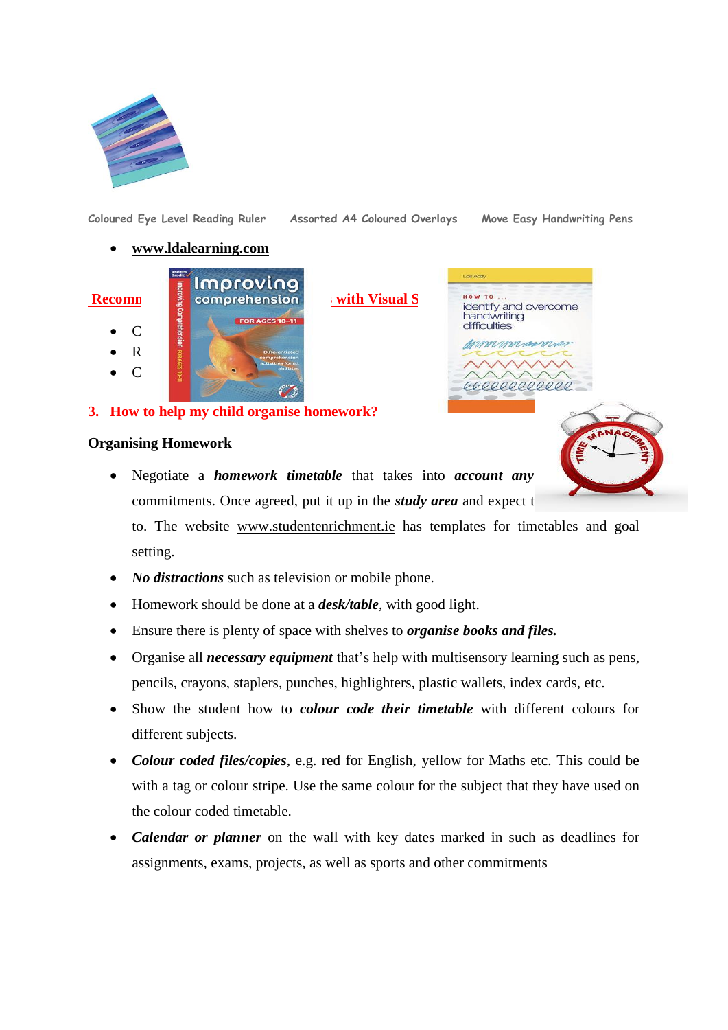

**[Coloured Eye Level Reading Ruler](https://www.tts-group.co.uk/coloured-eye-level-reading-ruler/1004723.html?cgid=Primary%3ASEN%3ADyslexia%3AVisual_Discrimination) Assorted A4 Coloured Overlays [Move Easy Handwriting Pens](https://www.tts-group.co.uk/move-easy-handwriting-pens/1001453.html?cgid=Primary%3ASEN%3ADyspraxia%3AHandwriting)**

#### **[www.ldalearning.com](http://www.ldalearning.com/)**

Improvinc **Recommendie Resource For Stress For Stress For Stress For Stress Stress Except** Stress Resources Stress Stress  $\bullet$  C  $\parallel$   $\parallel$   $\parallel$  $\bullet$  R  $\frac{1}{2}$  $\bullet$  C  $\frac{3}{2}$   $\bullet$   $\bullet$   $\bullet$   $\bullet$   $\bullet$ 

Lois Add **HOW TO** identify and overcome<br>handwriting difficulties

mannum

#### **3. How to help my child organise homework?**

#### **Organising Homework**



- Negotiate a *homework timetable* that takes into *account any* commitments. Once agreed, put it up in the *study area* and expect t to. The website www.studentenrichment.ie has templates for timetables and goal setting.
- *No distractions* such as television or mobile phone.
- Homework should be done at a *desk/table*, with good light.
- Ensure there is plenty of space with shelves to *organise books and files.*
- Organise all *necessary equipment* that's help with multisensory learning such as pens, pencils, crayons, staplers, punches, highlighters, plastic wallets, index cards, etc.
- Show the student how to *colour code their timetable* with different colours for different subjects.
- *Colour coded files/copies*, e.g. red for English, yellow for Maths etc. This could be with a tag or colour stripe. Use the same colour for the subject that they have used on the colour coded timetable.
- *Calendar or planner* on the wall with key dates marked in such as deadlines for assignments, exams, projects, as well as sports and other commitments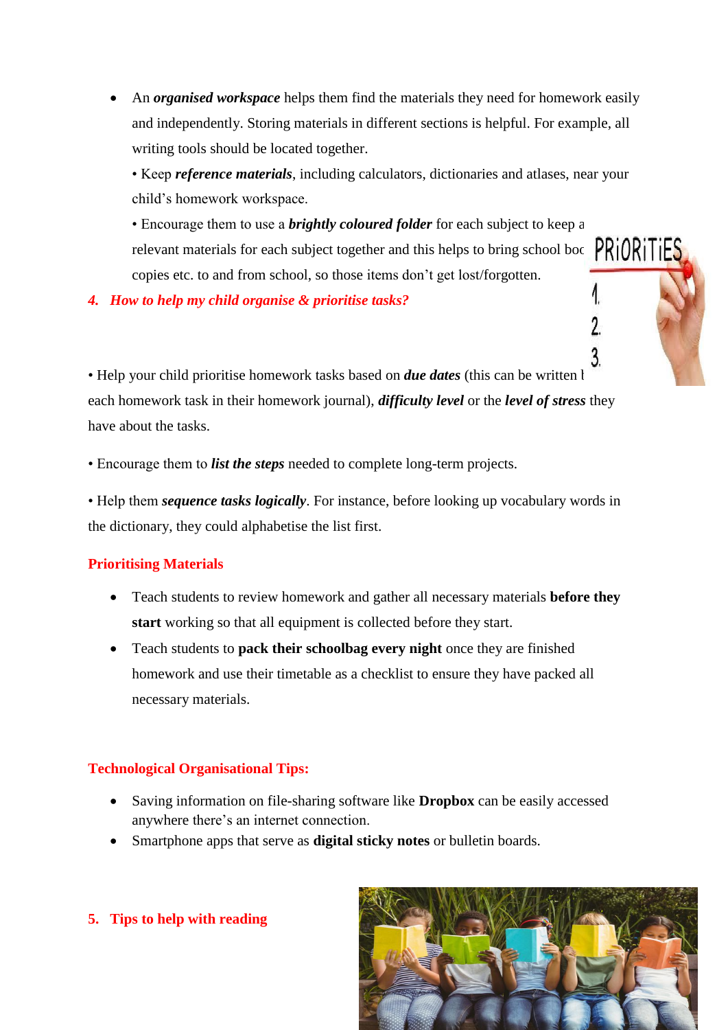An *organised workspace* helps them find the materials they need for homework easily and independently. Storing materials in different sections is helpful. For example, all writing tools should be located together.

• Keep *reference materials*, including calculators, dictionaries and atlases, near your child's homework workspace.

• Encourage them to use a *brightly coloured folder* for each subject to keep all relevant materials for each subject together and this helps to bring school books,  $PRiORiTES$ copies etc. to and from school, so those items don't get lost/forgotten.

*4. How to help my child organise & prioritise tasks?*

 $3.$ • Help your child prioritise homework tasks based on *due dates* (this can be written b each homework task in their homework journal), *difficulty level* or the *level of stress* they have about the tasks.

• Encourage them to *list the steps* needed to complete long-term projects.

• Help them *sequence tasks logically*. For instance, before looking up vocabulary words in the dictionary, they could alphabetise the list first.

#### **Prioritising Materials**

- Teach students to review homework and gather all necessary materials **before they start** working so that all equipment is collected before they start.
- Teach students to **pack their schoolbag every night** once they are finished homework and use their timetable as a checklist to ensure they have packed all necessary materials.

# **Technological Organisational Tips:**

- Saving information on file-sharing software like **Dropbox** can be easily accessed anywhere there's an internet connection.
- Smartphone apps that serve as **digital sticky notes** or bulletin boards.



**5. Tips to help with reading**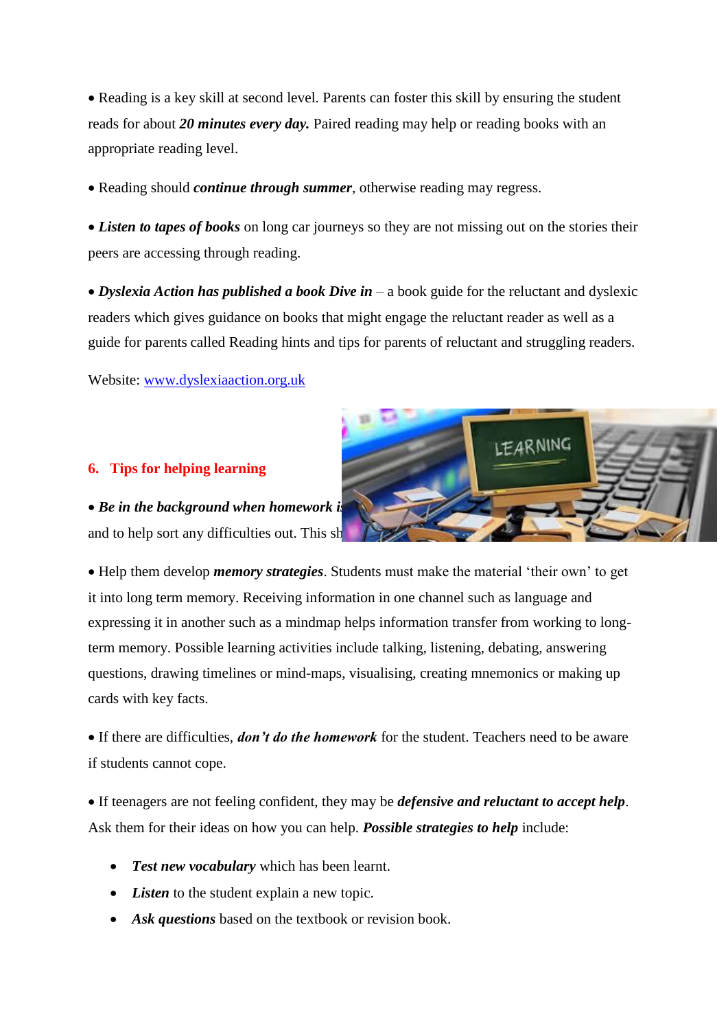• Reading is a key skill at second level. Parents can foster this skill by ensuring the student reads for about *20 minutes every day.* Paired reading may help or reading books with an appropriate reading level.

• Reading should *continue through summer*, otherwise reading may regress.

• *Listen to tapes of books* on long car journeys so they are not missing out on the stories their peers are accessing through reading.

 *Dyslexia Action has published a book Dive in* – a book guide for the reluctant and dyslexic readers which gives guidance on books that might engage the reluctant reader as well as a guide for parents called Reading hints and tips for parents of reluctant and struggling readers.

Website: [www.dyslexiaaction.org.uk](http://www.dyslexiaaction.org.uk/)

#### **6. Tips for helping learning**

**• Be in the background when homework is** and to help sort any difficulties out. This sh

 Help them develop *memory strategies*. Students must make the material 'their own' to get it into long term memory. Receiving information in one channel such as language and expressing it in another such as a mindmap helps information transfer from working to longterm memory. Possible learning activities include talking, listening, debating, answering questions, drawing timelines or mind-maps, visualising, creating mnemonics or making up cards with key facts.

 If there are difficulties, *don't do the homework* for the student. Teachers need to be aware if students cannot cope.

 If teenagers are not feeling confident, they may be *defensive and reluctant to accept help*. Ask them for their ideas on how you can help. *Possible strategies to help* include:

- *Test new vocabulary* which has been learnt.
- *Listen* to the student explain a new topic.
- Ask *questions* based on the textbook or revision book.

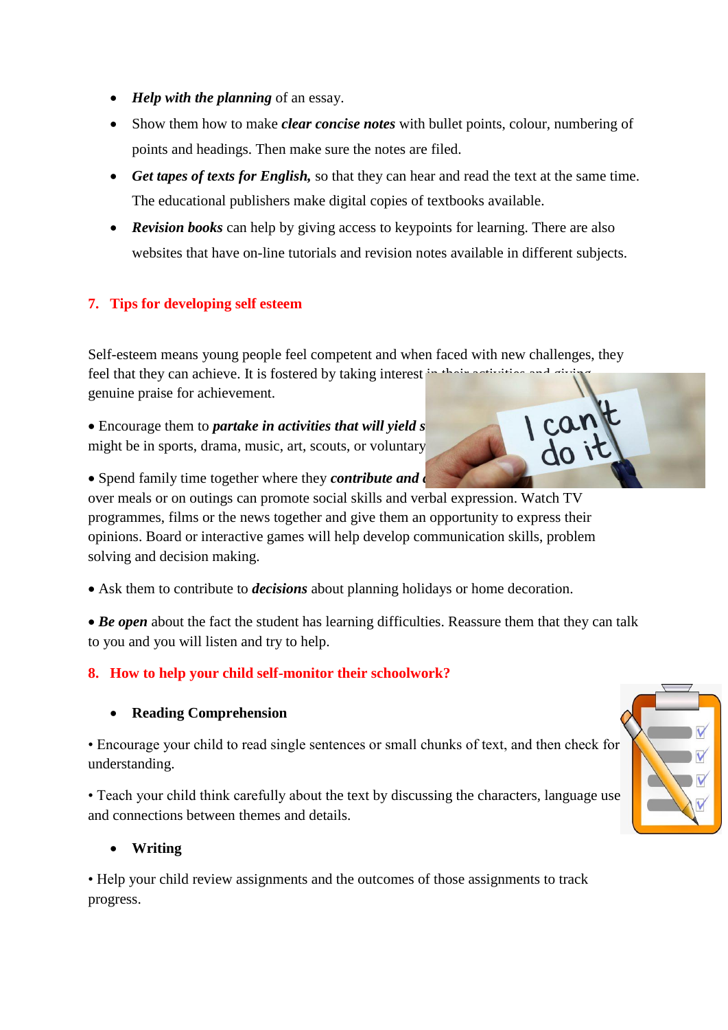- *Help with the planning* of an essay.
- Show them how to make *clear concise notes* with bullet points, colour, numbering of points and headings. Then make sure the notes are filed.
- *Get tapes of texts for English,* so that they can hear and read the text at the same time. The educational publishers make digital copies of textbooks available.
- *Revision books* can help by giving access to keypoints for learning. There are also websites that have on-line tutorials and revision notes available in different subjects.

# **7. Tips for developing self esteem**

Self-esteem means young people feel competent and when faced with new challenges, they feel that they can achieve. It is fostered by taking interest in genuine praise for achievement.

• Encourage them to *partake in activities that will yield s* might be in sports, drama, music, art, scouts, or voluntary

• Spend family time together where they *contribute and d* 

over meals or on outings can promote social skills and verbal expression. Watch TV programmes, films or the news together and give them an opportunity to express their opinions. Board or interactive games will help develop communication skills, problem solving and decision making.

Ask them to contribute to *decisions* about planning holidays or home decoration.

• **Be open** about the fact the student has learning difficulties. Reassure them that they can talk to you and you will listen and try to help.

# **8. How to help your child self-monitor their schoolwork?**

# **Reading Comprehension**

• Encourage your child to read single sentences or small chunks of text, and then check for understanding.

• Teach your child think carefully about the text by discussing the characters, language use and connections between themes and details.

# **Writing**

• Help your child review assignments and the outcomes of those assignments to track progress.

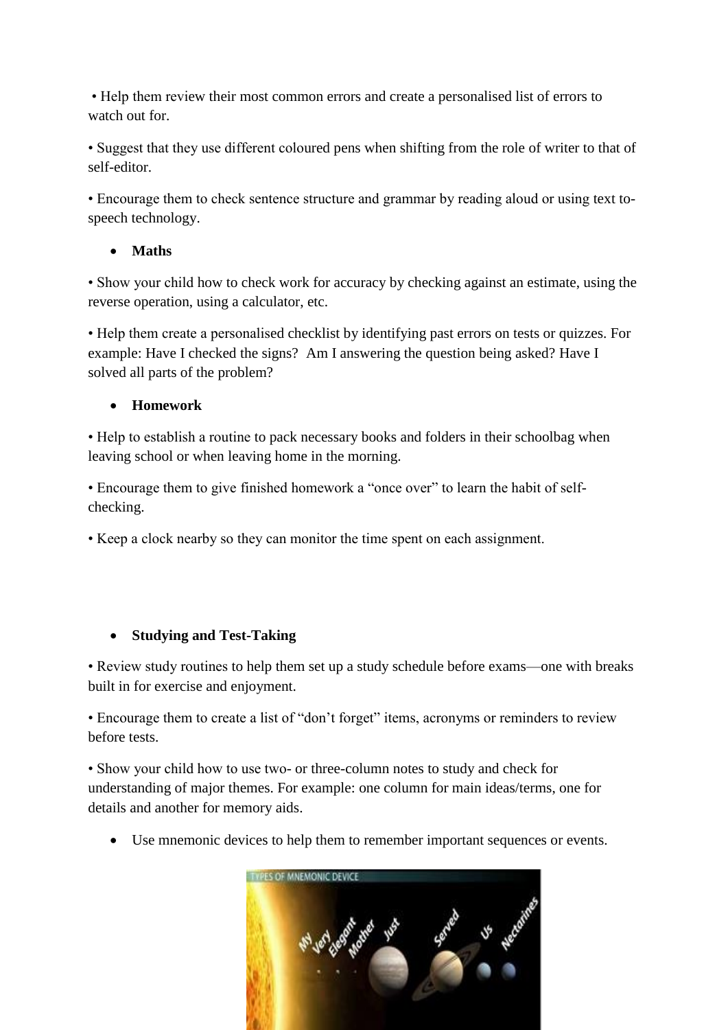• Help them review their most common errors and create a personalised list of errors to watch out for.

• Suggest that they use different coloured pens when shifting from the role of writer to that of self-editor.

• Encourage them to check sentence structure and grammar by reading aloud or using text tospeech technology.

# **Maths**

• Show your child how to check work for accuracy by checking against an estimate, using the reverse operation, using a calculator, etc.

• Help them create a personalised checklist by identifying past errors on tests or quizzes. For example: Have I checked the signs? Am I answering the question being asked? Have I solved all parts of the problem?

# **Homework**

• Help to establish a routine to pack necessary books and folders in their schoolbag when leaving school or when leaving home in the morning.

• Encourage them to give finished homework a "once over" to learn the habit of selfchecking.

• Keep a clock nearby so they can monitor the time spent on each assignment.

# **Studying and Test-Taking**

• Review study routines to help them set up a study schedule before exams—one with breaks built in for exercise and enjoyment.

• Encourage them to create a list of "don't forget" items, acronyms or reminders to review before tests.

• Show your child how to use two- or three-column notes to study and check for understanding of major themes. For example: one column for main ideas/terms, one for details and another for memory aids.

Use mnemonic devices to help them to remember important sequences or events.